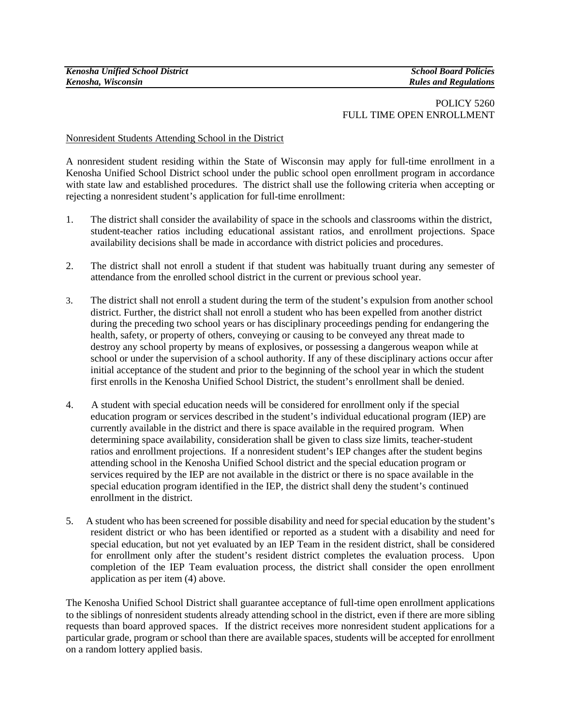# POLICY 5260 FULL TIME OPEN ENROLLMENT

## Nonresident Students Attending School in the District

A nonresident student residing within the State of Wisconsin may apply for full-time enrollment in a Kenosha Unified School District school under the public school open enrollment program in accordance with state law and established procedures. The district shall use the following criteria when accepting or rejecting a nonresident student's application for full-time enrollment:

- 1. The district shall consider the availability of space in the schools and classrooms within the district, student-teacher ratios including educational assistant ratios, and enrollment projections. Space availability decisions shall be made in accordance with district policies and procedures.
- 2. The district shall not enroll a student if that student was habitually truant during any semester of attendance from the enrolled school district in the current or previous school year.
- 3. The district shall not enroll a student during the term of the student's expulsion from another school district. Further, the district shall not enroll a student who has been expelled from another district during the preceding two school years or has disciplinary proceedings pending for endangering the health, safety, or property of others, conveying or causing to be conveyed any threat made to destroy any school property by means of explosives, or possessing a dangerous weapon while at school or under the supervision of a school authority. If any of these disciplinary actions occur after initial acceptance of the student and prior to the beginning of the school year in which the student first enrolls in the Kenosha Unified School District, the student's enrollment shall be denied.
- 4. A student with special education needs will be considered for enrollment only if the special education program or services described in the student's individual educational program (IEP) are currently available in the district and there is space available in the required program. When determining space availability, consideration shall be given to class size limits, teacher-student ratios and enrollment projections. If a nonresident student's IEP changes after the student begins attending school in the Kenosha Unified School district and the special education program or services required by the IEP are not available in the district or there is no space available in the special education program identified in the IEP, the district shall deny the student's continued enrollment in the district.
- 5. A student who has been screened for possible disability and need for special education by the student's resident district or who has been identified or reported as a student with a disability and need for special education, but not yet evaluated by an IEP Team in the resident district, shall be considered for enrollment only after the student's resident district completes the evaluation process. Upon completion of the IEP Team evaluation process, the district shall consider the open enrollment application as per item (4) above.

The Kenosha Unified School District shall guarantee acceptance of full-time open enrollment applications to the siblings of nonresident students already attending school in the district, even if there are more sibling requests than board approved spaces. If the district receives more nonresident student applications for a particular grade, program or school than there are available spaces, students will be accepted for enrollment on a random lottery applied basis.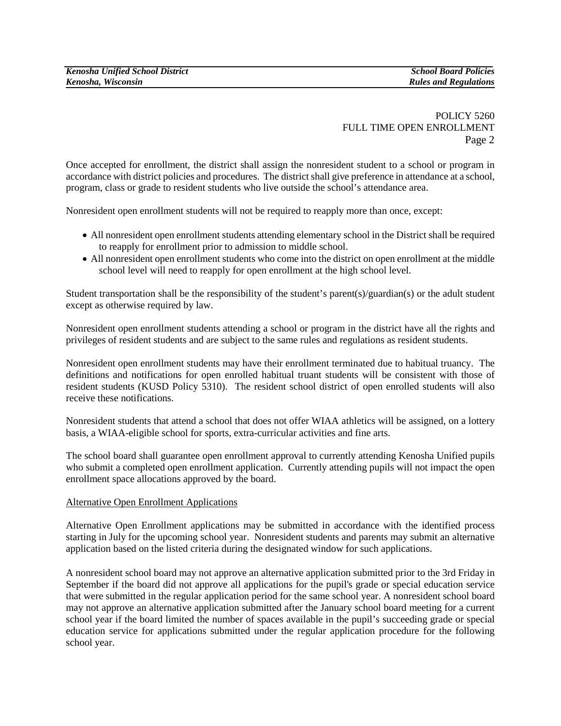POLICY 5260 FULL TIME OPEN ENROLLMENT Page 2

Once accepted for enrollment, the district shall assign the nonresident student to a school or program in accordance with district policies and procedures. The district shall give preference in attendance at a school, program, class or grade to resident students who live outside the school's attendance area.

Nonresident open enrollment students will not be required to reapply more than once, except:

- All nonresident open enrollment students attending elementary school in the District shall be required to reapply for enrollment prior to admission to middle school.
- All nonresident open enrollment students who come into the district on open enrollment at the middle school level will need to reapply for open enrollment at the high school level.

Student transportation shall be the responsibility of the student's parent(s)/guardian(s) or the adult student except as otherwise required by law.

Nonresident open enrollment students attending a school or program in the district have all the rights and privileges of resident students and are subject to the same rules and regulations as resident students.

Nonresident open enrollment students may have their enrollment terminated due to habitual truancy. The definitions and notifications for open enrolled habitual truant students will be consistent with those of resident students (KUSD Policy 5310). The resident school district of open enrolled students will also receive these notifications.

Nonresident students that attend a school that does not offer WIAA athletics will be assigned, on a lottery basis, a WIAA-eligible school for sports, extra-curricular activities and fine arts.

The school board shall guarantee open enrollment approval to currently attending Kenosha Unified pupils who submit a completed open enrollment application. Currently attending pupils will not impact the open enrollment space allocations approved by the board.

### Alternative Open Enrollment Applications

Alternative Open Enrollment applications may be submitted in accordance with the identified process starting in July for the upcoming school year. Nonresident students and parents may submit an alternative application based on the listed criteria during the designated window for such applications.

A nonresident school board may not approve an alternative application submitted prior to the 3rd Friday in September if the board did not approve all applications for the pupil's grade or special education service that were submitted in the regular application period for the same school year. A nonresident school board may not approve an alternative application submitted after the January school board meeting for a current school year if the board limited the number of spaces available in the pupil's succeeding grade or special education service for applications submitted under the regular application procedure for the following school year.